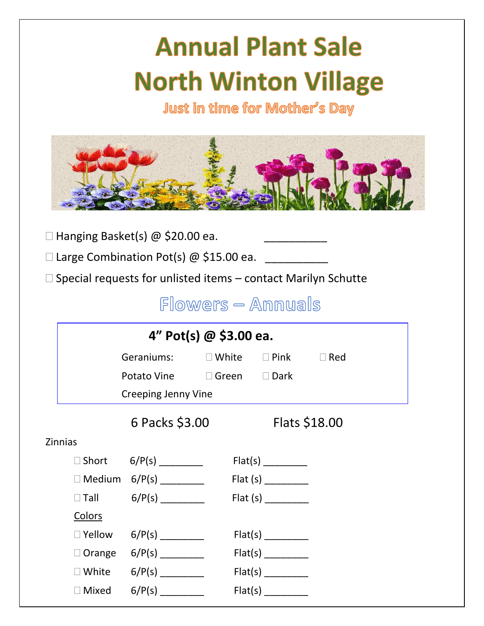## **Annual Plant Sale North Winton Village**

Just in time for Mother's Day



- $\Box$  Hanging Basket(s) @ \$20.00 ea.
- $\Box$  Large Combination Pot(s) @ \$15.00 ea.
- $\square$  Special requests for unlisted items contact Marilyn Schutte

 $Flowers - Amm walls$ 

| 4" Pot(s) $\omega$ \$3.00 ea. |                                |  |         |               |  |  |
|-------------------------------|--------------------------------|--|---------|---------------|--|--|
|                               | Geraniums: □ White □ Pink      |  |         | $\Box$ Red    |  |  |
|                               | Potato Vine □ Green □ Dark     |  |         |               |  |  |
|                               | <b>Creeping Jenny Vine</b>     |  |         |               |  |  |
|                               | 6 Packs \$3.00                 |  |         | Flats \$18.00 |  |  |
| <b>Zinnias</b>                |                                |  |         |               |  |  |
|                               | $\Box$ Short 6/P(s) __________ |  |         |               |  |  |
|                               | $\Box$ Medium 6/P(s)           |  |         |               |  |  |
|                               | $\Box$ Tall 6/P(s)             |  | Flat(s) |               |  |  |
| Colors                        |                                |  |         |               |  |  |
| $\square$ Yellow              |                                |  |         |               |  |  |
|                               | $\Box$ Orange 6/P(s) ________  |  | Flat(s) |               |  |  |
|                               | $\Box$ White 6/P(s) _________  |  |         |               |  |  |
| $\Box$ Mixed                  | 6/P(s)                         |  | Flat(s) |               |  |  |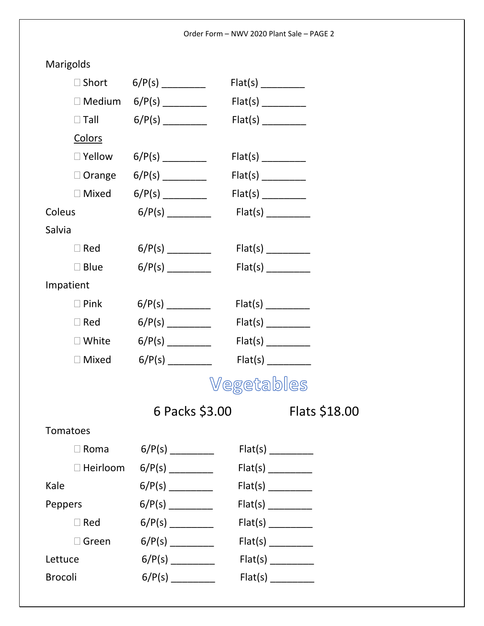#### Order Form – NWV 2020 Plant Sale – PAGE 2

| Marigolds      |                    |                               |            |                              |  |
|----------------|--------------------|-------------------------------|------------|------------------------------|--|
|                |                    | $\Box$ Short 6/P(s) _________ |            |                              |  |
|                | $\square$ Medium   |                               |            |                              |  |
|                | $\Box$ Tall        |                               |            |                              |  |
|                | Colors             |                               |            |                              |  |
|                |                    |                               |            |                              |  |
|                |                    | □ Orange 6/P(s) ________      |            |                              |  |
|                | $\Box$ Mixed       |                               |            |                              |  |
| Coleus         |                    |                               |            |                              |  |
| Salvia         |                    |                               |            |                              |  |
|                | $\Box$ Red         |                               | Flat(s)    |                              |  |
|                | $\square$ Blue     |                               |            |                              |  |
| Impatient      |                    |                               |            |                              |  |
|                | $\square$ Pink     |                               |            |                              |  |
|                | $\Box$ Red         |                               |            |                              |  |
|                | $\square$ White    |                               |            |                              |  |
|                | $\Box$ Mixed       |                               |            |                              |  |
|                |                    |                               | Vegetables |                              |  |
|                |                    |                               |            | 6 Packs \$3.00 Flats \$18.00 |  |
| Tomatoes       |                    |                               |            |                              |  |
|                | Roma<br>П          |                               |            |                              |  |
|                | $\square$ Heirloom |                               |            |                              |  |
| Kale           |                    |                               |            |                              |  |
| Peppers        |                    |                               |            |                              |  |
|                | $\Box$ Red         |                               |            |                              |  |
|                | $\square$ Green    |                               |            |                              |  |
| Lettuce        |                    |                               |            |                              |  |
| <b>Brocoli</b> |                    |                               |            |                              |  |